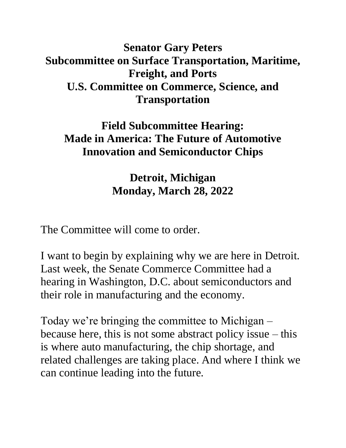## **Senator Gary Peters Subcommittee on Surface Transportation, Maritime, Freight, and Ports U.S. Committee on Commerce, Science, and Transportation**

## **Field Subcommittee Hearing: Made in America: The Future of Automotive Innovation and Semiconductor Chips**

**Detroit, Michigan Monday, March 28, 2022**

The Committee will come to order.

I want to begin by explaining why we are here in Detroit. Last week, the Senate Commerce Committee had a hearing in Washington, D.C. about semiconductors and their role in manufacturing and the economy.

Today we're bringing the committee to Michigan – because here, this is not some abstract policy issue – this is where auto manufacturing, the chip shortage, and related challenges are taking place. And where I think we can continue leading into the future.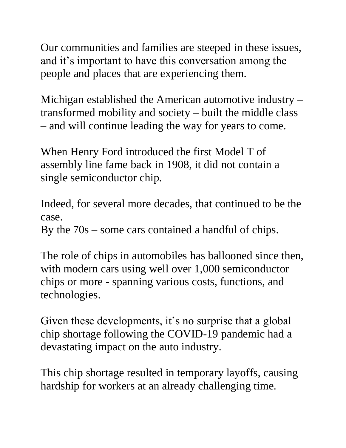Our communities and families are steeped in these issues, and it's important to have this conversation among the people and places that are experiencing them.

Michigan established the American automotive industry – transformed mobility and society – built the middle class – and will continue leading the way for years to come.

When Henry Ford introduced the first Model T of assembly line fame back in 1908, it did not contain a single semiconductor chip.

Indeed, for several more decades, that continued to be the case.

By the 70s – some cars contained a handful of chips.

The role of chips in automobiles has ballooned since then, with modern cars using well over 1,000 semiconductor chips or more - spanning various costs, functions, and technologies.

Given these developments, it's no surprise that a global chip shortage following the COVID-19 pandemic had a devastating impact on the auto industry.

This chip shortage resulted in temporary layoffs, causing hardship for workers at an already challenging time.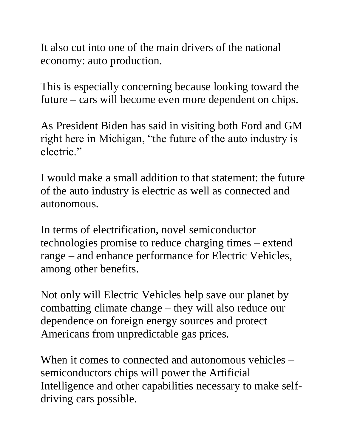It also cut into one of the main drivers of the national economy: auto production.

This is especially concerning because looking toward the future – cars will become even more dependent on chips.

As President Biden has said in visiting both Ford and GM right here in Michigan, "the future of the auto industry is electric."

I would make a small addition to that statement: the future of the auto industry is electric as well as connected and autonomous.

In terms of electrification, novel semiconductor technologies promise to reduce charging times – extend range – and enhance performance for Electric Vehicles, among other benefits.

Not only will Electric Vehicles help save our planet by combatting climate change – they will also reduce our dependence on foreign energy sources and protect Americans from unpredictable gas prices.

When it comes to connected and autonomous vehicles – semiconductors chips will power the Artificial Intelligence and other capabilities necessary to make selfdriving cars possible.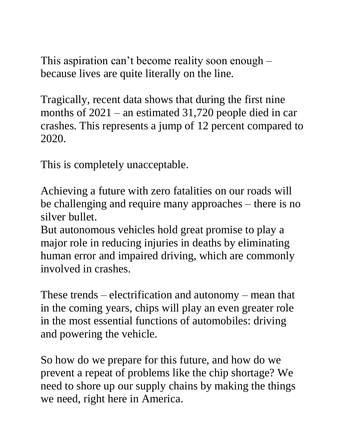This aspiration can't become reality soon enough – because lives are quite literally on the line.

Tragically, recent data shows that during the first nine months of 2021 – an estimated 31,720 people died in car crashes. This represents a jump of 12 percent compared to 2020.

This is completely unacceptable.

Achieving a future with zero fatalities on our roads will be challenging and require many approaches – there is no silver bullet.

But autonomous vehicles hold great promise to play a major role in reducing injuries in deaths by eliminating human error and impaired driving, which are commonly involved in crashes.

These trends – electrification and autonomy – mean that in the coming years, chips will play an even greater role in the most essential functions of automobiles: driving and powering the vehicle.

So how do we prepare for this future, and how do we prevent a repeat of problems like the chip shortage? We need to shore up our supply chains by making the things we need, right here in America.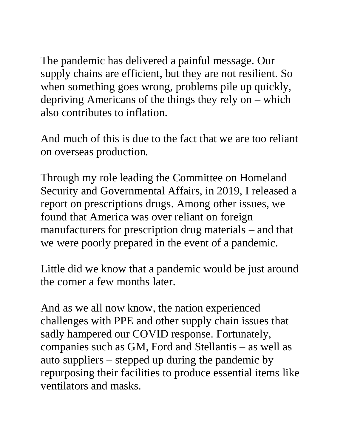The pandemic has delivered a painful message. Our supply chains are efficient, but they are not resilient. So when something goes wrong, problems pile up quickly, depriving Americans of the things they rely on – which also contributes to inflation.

And much of this is due to the fact that we are too reliant on overseas production.

Through my role leading the Committee on Homeland Security and Governmental Affairs, in 2019, I released a report on prescriptions drugs. Among other issues, we found that America was over reliant on foreign manufacturers for prescription drug materials – and that we were poorly prepared in the event of a pandemic.

Little did we know that a pandemic would be just around the corner a few months later.

And as we all now know, the nation experienced challenges with PPE and other supply chain issues that sadly hampered our COVID response. Fortunately, companies such as GM, Ford and Stellantis – as well as auto suppliers – stepped up during the pandemic by repurposing their facilities to produce essential items like ventilators and masks.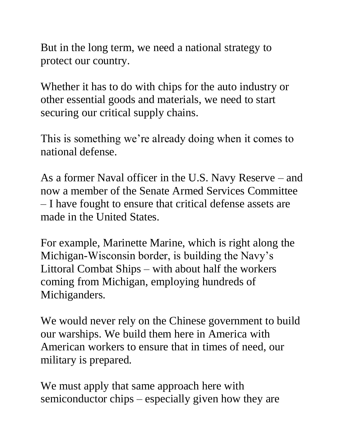But in the long term, we need a national strategy to protect our country.

Whether it has to do with chips for the auto industry or other essential goods and materials, we need to start securing our critical supply chains.

This is something we're already doing when it comes to national defense.

As a former Naval officer in the U.S. Navy Reserve – and now a member of the Senate Armed Services Committee – I have fought to ensure that critical defense assets are made in the United States.

For example, Marinette Marine, which is right along the Michigan-Wisconsin border, is building the Navy's Littoral Combat Ships – with about half the workers coming from Michigan, employing hundreds of Michiganders.

We would never rely on the Chinese government to build our warships. We build them here in America with American workers to ensure that in times of need, our military is prepared.

We must apply that same approach here with semiconductor chips – especially given how they are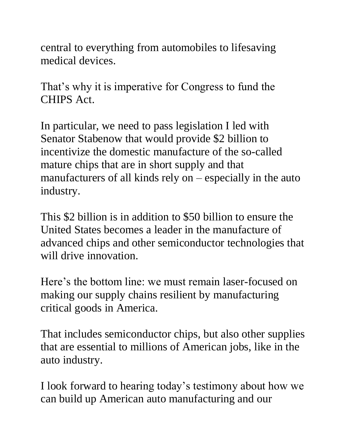central to everything from automobiles to lifesaving medical devices.

That's why it is imperative for Congress to fund the CHIPS Act.

In particular, we need to pass legislation I led with Senator Stabenow that would provide \$2 billion to incentivize the domestic manufacture of the so-called mature chips that are in short supply and that manufacturers of all kinds rely on  $-$  especially in the auto industry.

This \$2 billion is in addition to \$50 billion to ensure the United States becomes a leader in the manufacture of advanced chips and other semiconductor technologies that will drive innovation.

Here's the bottom line: we must remain laser-focused on making our supply chains resilient by manufacturing critical goods in America.

That includes semiconductor chips, but also other supplies that are essential to millions of American jobs, like in the auto industry.

I look forward to hearing today's testimony about how we can build up American auto manufacturing and our